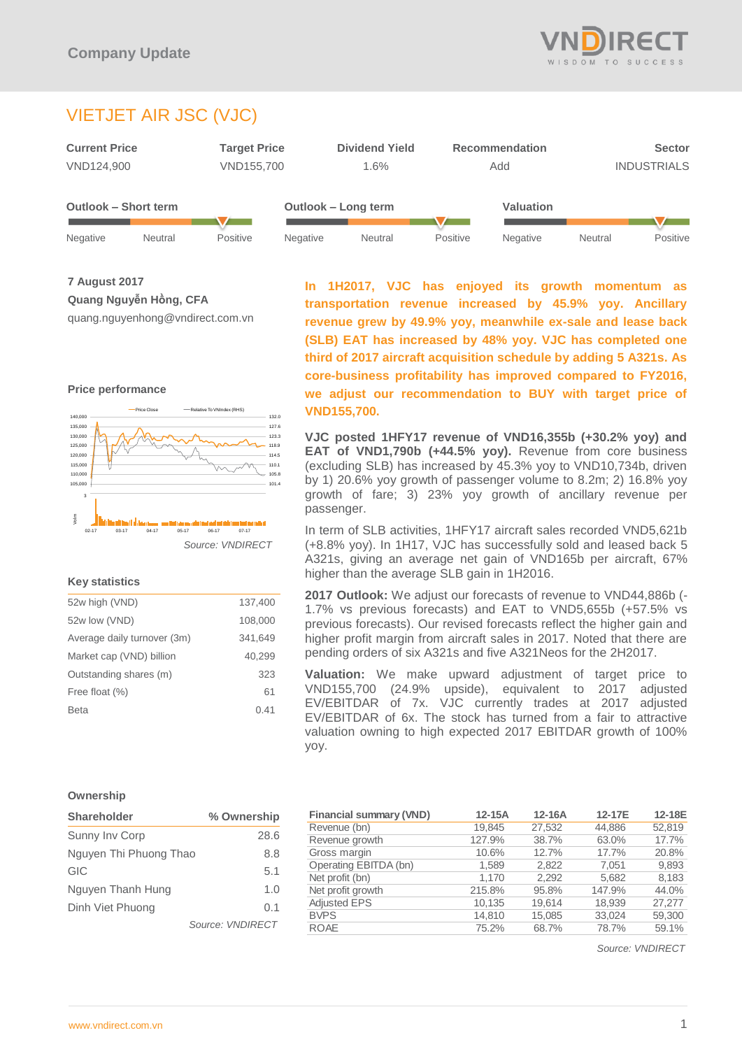

# VIETJET AIR JSC (VJC)



**7 August 2017 Quang Nguyễn Hồng, CFA**

quang.nguyenhong@vndirect.com.vn





## **Key statistics**

| 52w high (VND)              | 137,400 |
|-----------------------------|---------|
| 52w low (VND)               | 108,000 |
| Average daily turnover (3m) | 341,649 |
| Market cap (VND) billion    | 40,299  |
| Outstanding shares (m)      | 323     |
| Free float (%)              | 61      |
| <b>Beta</b>                 | 0.41    |
|                             |         |

**In 1H2017, VJC has enjoyed its growth momentum as transportation revenue increased by 45.9% yoy. Ancillary revenue grew by 49.9% yoy, meanwhile ex-sale and lease back (SLB) EAT has increased by 48% yoy. VJC has completed one third of 2017 aircraft acquisition schedule by adding 5 A321s. As core-business profitability has improved compared to FY2016, we adjust our recommendation to BUY with target price of VND155,700.**

**VJC posted 1HFY17 revenue of VND16,355b (+30.2% yoy) and EAT of VND1,790b (+44.5% yoy).** Revenue from core business (excluding SLB) has increased by 45.3% yoy to VND10,734b, driven by 1) 20.6% yoy growth of passenger volume to 8.2m; 2) 16.8% yoy growth of fare; 3) 23% yoy growth of ancillary revenue per passenger.

In term of SLB activities, 1HFY17 aircraft sales recorded VND5,621b (+8.8% yoy). In 1H17, VJC has successfully sold and leased back 5 A321s, giving an average net gain of VND165b per aircraft, 67% higher than the average SLB gain in 1H2016.

**2017 Outlook:** We adjust our forecasts of revenue to VND44,886b (- 1.7% vs previous forecasts) and EAT to VND5,655b (+57.5% vs previous forecasts). Our revised forecasts reflect the higher gain and higher profit margin from aircraft sales in 2017. Noted that there are pending orders of six A321s and five A321Neos for the 2H2017.

**Valuation:** We make upward adjustment of target price to VND155,700 (24.9% upside), equivalent to 2017 adjusted EV/EBITDAR of 7x. VJC currently trades at 2017 adjusted EV/EBITDAR of 6x. The stock has turned from a fair to attractive valuation owning to high expected 2017 EBITDAR growth of 100% yoy.

#### **Ownership**

| <b>Shareholder</b>     | % Ownership      |  |
|------------------------|------------------|--|
| Sunny Inv Corp         | 28.6             |  |
| Nguyen Thi Phuong Thao | 8.8              |  |
| GIC                    | 5.1              |  |
| Nguyen Thanh Hung      | 1.0              |  |
| Dinh Viet Phuong       | 0.1              |  |
|                        | Source: VNDIRECT |  |

| <b>Financial summary (VND)</b> | 12-15A | 12-16A | 12-17E | 12-18E |
|--------------------------------|--------|--------|--------|--------|
| Revenue (bn)                   | 19.845 | 27,532 | 44.886 | 52.819 |
| Revenue growth                 | 127.9% | 38.7%  | 63.0%  | 17.7%  |
| Gross margin                   | 10.6%  | 12.7%  | 17.7%  | 20.8%  |
| Operating EBITDA (bn)          | 1,589  | 2.822  | 7.051  | 9,893  |
| Net profit (bn)                | 1.170  | 2.292  | 5.682  | 8,183  |
| Net profit growth              | 215.8% | 95.8%  | 147.9% | 44.0%  |
| <b>Adjusted EPS</b>            | 10,135 | 19,614 | 18.939 | 27.277 |
| <b>BVPS</b>                    | 14,810 | 15,085 | 33,024 | 59,300 |
| <b>ROAE</b>                    | 75.2%  | 68.7%  | 78.7%  | 59.1%  |

*Source: VNDIRECT*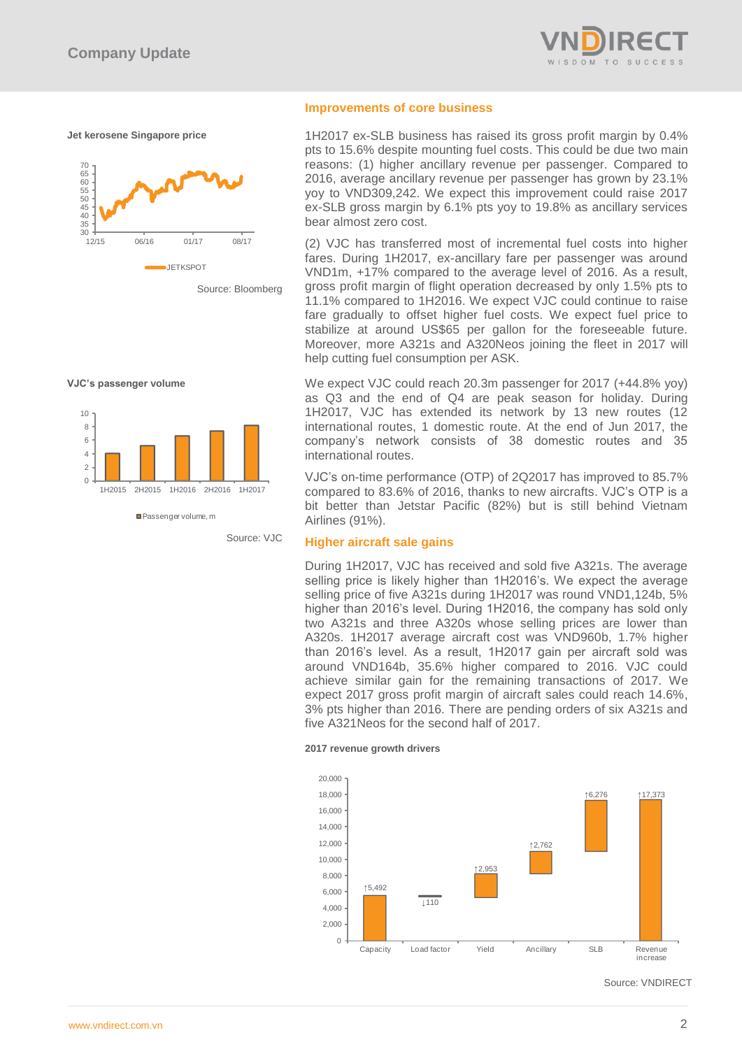

**Jet kerosene Singapore price**





**VJC's passenger volume**



Passenger volume, m

Source: VJC

#### **Improvements of core business**

1H2017 ex-SLB business has raised its gross profit margin by 0.4% pts to 15.6% despite mounting fuel costs. This could be due two main reasons: (1) higher ancillary revenue per passenger. Compared to 2016, average ancillary revenue per passenger has grown by 23.1% yoy to VND309,242. We expect this improvement could raise 2017 ex-SLB gross margin by 6.1% pts yoy to 19.8% as ancillary services bear almost zero cost. Please fill in the values above to have them entered in your report

(2) VJC has transferred most of incremental fuel costs into higher fares. During 1H2017, ex-ancillary fare per passenger was around VND1m, +17% compared to the average level of 2016. As a result, gross profit margin of flight operation decreased by only 1.5% pts to 11.1% compared to 1H2016. We expect VJC could continue to raise fare gradually to offset higher fuel costs. We expect fuel price to stabilize at around US\$65 per gallon for the foreseeable future. Moreover, more A321s and A320Neos joining the fleet in 2017 will help cutting fuel consumption per ASK.

We expect VJC could reach 20.3m passenger for 2017 (+44.8% yoy) as Q3 and the end of Q4 are peak season for holiday. During 1H2017, VJC has extended its network by 13 new routes (12 international routes, 1 domestic route. At the end of Jun 2017, the company's network consists of 38 domestic routes and 35 international routes.

VJC's on-time performance (OTP) of 2Q2017 has improved to 85.7% compared to 83.6% of 2016, thanks to new aircrafts. VJC's OTP is a bit better than Jetstar Pacific (82%) but is still behind Vietnam Airlines (91%).

## **Higher aircraft sale gains**

During 1H2017, VJC has received and sold five A321s. The average selling price is likely higher than 1H2016's. We expect the average selling price of five A321s during 1H2017 was round VND1,124b, 5% higher than 2016's level. During 1H2016, the company has sold only two A321s and three A320s whose selling prices are lower than A320s. 1H2017 average aircraft cost was VND960b, 1.7% higher than 2016's level. As a result, 1H2017 gain per aircraft sold was around VND164b, 35.6% higher compared to 2016. VJC could achieve similar gain for the remaining transactions of 2017. We expect 2017 gross profit margin of aircraft sales could reach 14.6%, 3% pts higher than 2016. There are pending orders of six A321s and five A321Neos for the second half of 2017.

**2017 revenue growth drivers**



Source: VNDIRECT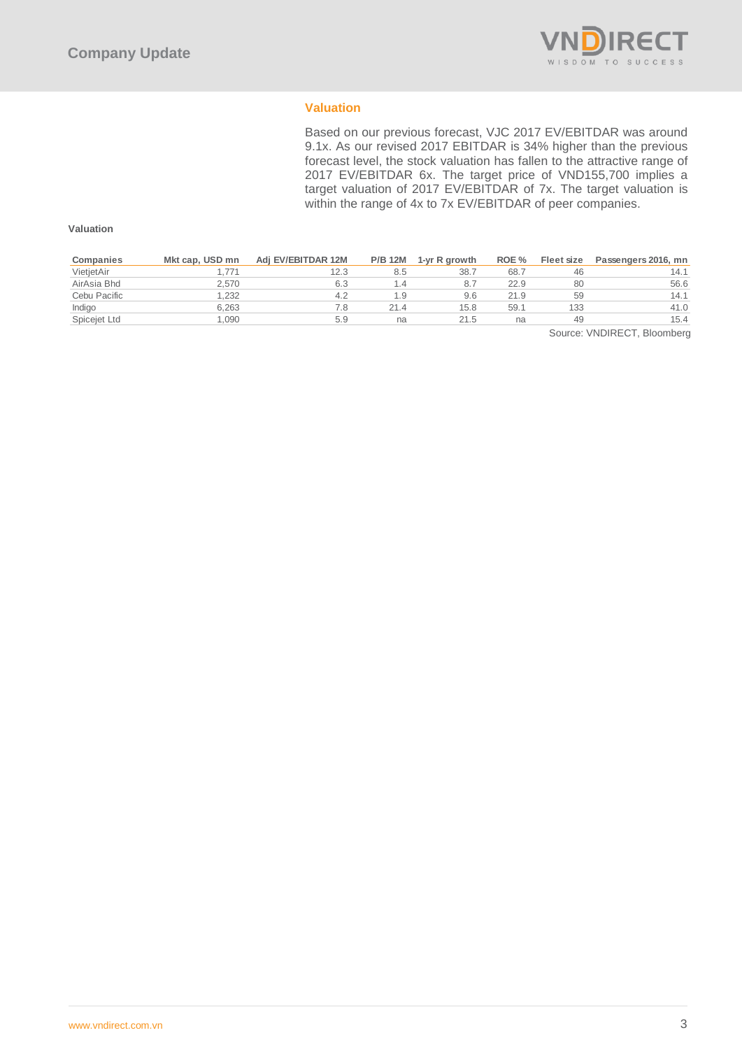

## **Valuation**

Based on our previous forecast, VJC 2017 EV/EBITDAR was around 9.1x. As our revised 2017 EBITDAR is 34% higher than the previous forecast level, the stock valuation has fallen to the attractive range of 2017 EV/EBITDAR 6x. The target price of VND155,700 implies a target valuation of 2017 EV/EBITDAR of 7x. The target valuation is within the range of 4x to 7x EV/EBITDAR of peer companies.

## **Valuation**

| Companies    | Mkt cap, USD mn | Adi EV/EBITDAR 12M | <b>P/B 12M</b> | 1-yr R growth | ROE % | Fleet size | Passengers 2016, mn |
|--------------|-----------------|--------------------|----------------|---------------|-------|------------|---------------------|
| VietjetAir   |                 | 12.3               | 8.5            | 38.7          | 68.7  | 46         | 14.1                |
| AirAsia Bhd  | 2.570           | 6.3                | 1.4            | 8.7           | 22.9  | 80         | 56.6                |
| Cebu Pacific | 1.232           | 4.2                | 1.9            | 9.6           | 21.9  | 59         | 14.1                |
| Indigo       | 6.263           |                    | 21.4           | 15.8          | 59.1  | 133        | 41.0                |
| Spicejet Ltd | .090            | 5.9                | na             | 21.5          | na    | 49         | 15.4                |

Source: VNDIRECT, Bloomberg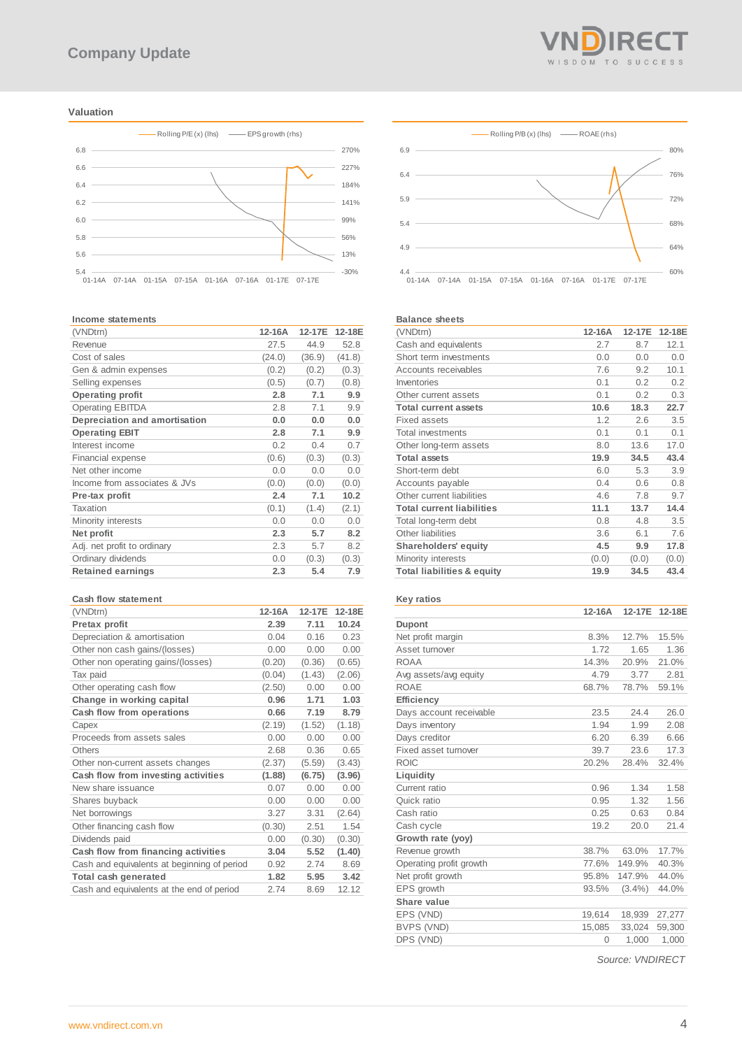#### **Valuation**



#### **Income statements**

| (VNDtrn)                      | 12-16A | 12-17E | 12-18E |
|-------------------------------|--------|--------|--------|
| Revenue                       | 27.5   | 44.9   | 52.8   |
| Cost of sales                 | (24.0) | (36.9) | (41.8) |
| Gen & admin expenses          | (0.2)  | (0.2)  | (0.3)  |
| Selling expenses              | (0.5)  | (0.7)  | (0.8)  |
| <b>Operating profit</b>       | 2.8    | 7.1    | 9.9    |
| <b>Operating EBITDA</b>       | 2.8    | 7.1    | 9.9    |
| Depreciation and amortisation | 0.0    | 0.0    | 0.0    |
| <b>Operating EBIT</b>         | 2.8    | 7.1    | 9.9    |
| Interest income               | 0.2    | 0.4    | 0.7    |
| Financial expense             | (0.6)  | (0.3)  | (0.3)  |
| Net other income              | 0.0    | 0.0    | 0.0    |
| Income from associates & JVs  | (0.0)  | (0.0)  | (0.0)  |
| Pre-tax profit                | 2.4    | 7.1    | 10.2   |
| Taxation                      | (0.1)  | (1.4)  | (2.1)  |
| Minority interests            | 0.0    | 0.0    | 0.0    |
| Net profit                    | 2.3    | 5.7    | 8.2    |
| Adj. net profit to ordinary   | 2.3    | 5.7    | 8.2    |
| Ordinary dividends            | 0.0    | (0.3)  | (0.3)  |
| <b>Retained earnings</b>      | 2.3    | 5.4    | 7.9    |

#### **Cash flow statement**

| (VNDtrn)                                    | 12-16A | 12-17E | 12-18E |
|---------------------------------------------|--------|--------|--------|
| Pretax profit                               | 2.39   | 7.11   | 10.24  |
| Depreciation & amortisation                 | 0.04   | 0.16   | 0.23   |
| Other non cash gains/(losses)               | 0.00   | 0.00   | 0.00   |
| Other non operating gains/(losses)          | (0.20) | (0.36) | (0.65) |
| Tax paid                                    | (0.04) | (1.43) | (2.06) |
| Other operating cash flow                   | (2.50) | 0.00   | 0.00   |
| Change in working capital                   | 0.96   | 1.71   | 1.03   |
| Cash flow from operations                   | 0.66   | 7.19   | 8.79   |
| Capex                                       | (2.19) | (1.52) | (1.18) |
| Proceeds from assets sales                  | 0.00   | 0.00   | 0.00   |
| Others                                      | 2.68   | 0.36   | 0.65   |
| Other non-current assets changes            | (2.37) | (5.59) | (3.43) |
| Cash flow from investing activities         | (1.88) | (6.75) | (3.96) |
| New share issuance                          | 0.07   | 0.00   | 0.00   |
| Shares buyback                              | 0.00   | 0.00   | 0.00   |
| Net borrowings                              | 3.27   | 3.31   | (2.64) |
| Other financing cash flow                   | (0.30) | 2.51   | 1.54   |
| Dividends paid                              | 0.00   | (0.30) | (0.30) |
| Cash flow from financing activities         | 3.04   | 5.52   | (1.40) |
| Cash and equivalents at beginning of period | 0.92   | 2.74   | 8.69   |
| Total cash generated                        | 1.82   | 5.95   | 3.42   |
| Cash and equivalents at the end of period   | 2.74   | 8.69   | 12.12  |



60% 4.4 01-14A 07-14A 01-15A 07-15A 01-16A 07-16A 01-17E 07-17E

#### **Balance sheets**

4.9

| (VNDtrn)                              | 12-16A | 12-17E | 12-18E |
|---------------------------------------|--------|--------|--------|
| Cash and equivalents                  | 2.7    | 8.7    | 12.1   |
|                                       |        |        |        |
| Short term investments                | 0.0    | 0.0    | 0.0    |
| Accounts receivables                  | 7.6    | 9.2    | 10.1   |
| Inventories                           | 0.1    | 0.2    | 0.2    |
| Other current assets                  | 0.1    | 0.2    | 0.3    |
| <b>Total current assets</b>           | 10.6   | 18.3   | 22.7   |
| <b>Fixed assets</b>                   | 1.2    | 2.6    | 3.5    |
| <b>Total investments</b>              | 0.1    | 0.1    | 0.1    |
| Other long-term assets                | 8.0    | 13.6   | 17.0   |
| <b>Total assets</b>                   | 19.9   | 34.5   | 43.4   |
| Short-term debt                       | 6.0    | 5.3    | 3.9    |
| Accounts payable                      | 0.4    | 0.6    | 0.8    |
| Other current liabilities             | 4.6    | 7.8    | 9.7    |
| <b>Total current liabilities</b>      | 11.1   | 13.7   | 14.4   |
| Total long-term debt                  | 0.8    | 4.8    | 3.5    |
| Other liabilities                     | 3.6    | 6.1    | 7.6    |
| Shareholders' equity                  | 4.5    | 9.9    | 17.8   |
| Minority interests                    | (0.0)  | (0.0)  | (0.0)  |
| <b>Total liabilities &amp; equity</b> | 19.9   | 34.5   | 43.4   |

#### **Key ratios**

|                         | 12-16A   | 12-17E    | 12-18E |
|-------------------------|----------|-----------|--------|
| <b>Dupont</b>           |          |           |        |
| Net profit margin       | 8.3%     | 12.7%     | 15.5%  |
| Asset turnover          | 1.72     | 1.65      | 1.36   |
| <b>ROAA</b>             | 14.3%    | 20.9%     | 21.0%  |
| Avg assets/avg equity   | 4.79     | 3.77      | 2.81   |
| <b>ROAE</b>             | 68.7%    | 78.7%     | 59.1%  |
| Efficiency              |          |           |        |
| Days account receivable | 23.5     | 24.4      | 26.0   |
| Days inventory          | 1.94     | 1.99      | 2.08   |
| Days creditor           | 6.20     | 6.39      | 6.66   |
| Fixed asset turnover    | 39.7     | 23.6      | 17.3   |
| <b>ROIC</b>             | 20.2%    | 28.4%     | 32.4%  |
| Liquidity               |          |           |        |
| Current ratio           | 0.96     | 1.34      | 1.58   |
| Quick ratio             | 0.95     | 1.32      | 1.56   |
| Cash ratio              | 0.25     | 0.63      | 0.84   |
| Cash cycle              | 19.2     | 20.0      | 21.4   |
| Growth rate (yoy)       |          |           |        |
| Revenue growth          | 38.7%    | 63.0%     | 17.7%  |
| Operating profit growth | 77.6%    | 149.9%    | 40.3%  |
| Net profit growth       | 95.8%    | 147.9%    | 44.0%  |
| EPS growth              | 93.5%    | $(3.4\%)$ | 44.0%  |
| Share value             |          |           |        |
| EPS (VND)               | 19,614   | 18,939    | 27,277 |
| BVPS (VND)              | 15,085   | 33,024    | 59,300 |
| DPS (VND)               | $\Omega$ | 1,000     | 1,000  |
|                         |          |           |        |

*Source: VNDIRECT*



64%